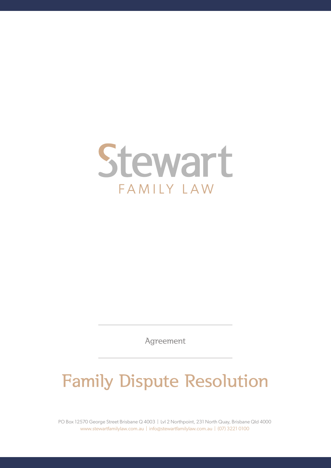

Agreement

## Family Dispute Resolution

PO Box 12570 George Street Brisbane Q 4003 | Lvl 2 Northpoint, 231 North Quay, Brisbane Qld 4000 www.stewartfamilylaw.com.au | info@stewartfamilylaw.com.au | (07) 3221 0100